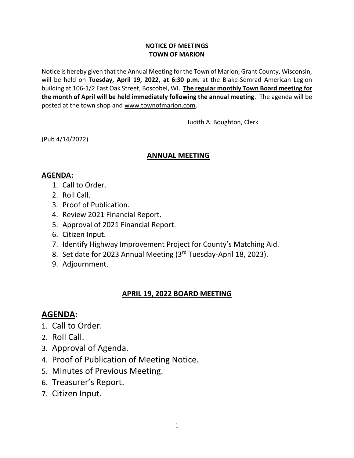#### **NOTICE OF MEETINGS TOWN OF MARION**

Notice is hereby given that the Annual Meeting for the Town of Marion, Grant County, Wisconsin, will be held on **Tuesday, April 19, 2022, at 6:30 p.m.** at the Blake-Semrad American Legion building at 106-1/2 East Oak Street, Boscobel, WI. **The regular monthly Town Board meeting for the month of April will be held immediately following the annual meeting**. The agenda will be posted at the town shop and www.townofmarion.com.

Judith A. Boughton, Clerk

(Pub 4/14/2022)

#### **ANNUAL MEETING**

## **AGENDA:**

- 1. Call to Order.
- 2. Roll Call.
- 3. Proof of Publication.
- 4. Review 2021 Financial Report.
- 5. Approval of 2021 Financial Report.
- 6. Citizen Input.
- 7. Identify Highway Improvement Project for County's Matching Aid.
- 8. Set date for 2023 Annual Meeting (3rd Tuesday-April 18, 2023).
- 9. Adjournment.

## **APRIL 19, 2022 BOARD MEETING**

# **AGENDA:**

- 1. Call to Order.
- 2. Roll Call.
- 3. Approval of Agenda.
- 4. Proof of Publication of Meeting Notice.
- 5. Minutes of Previous Meeting.
- 6. Treasurer's Report.
- 7. Citizen Input.